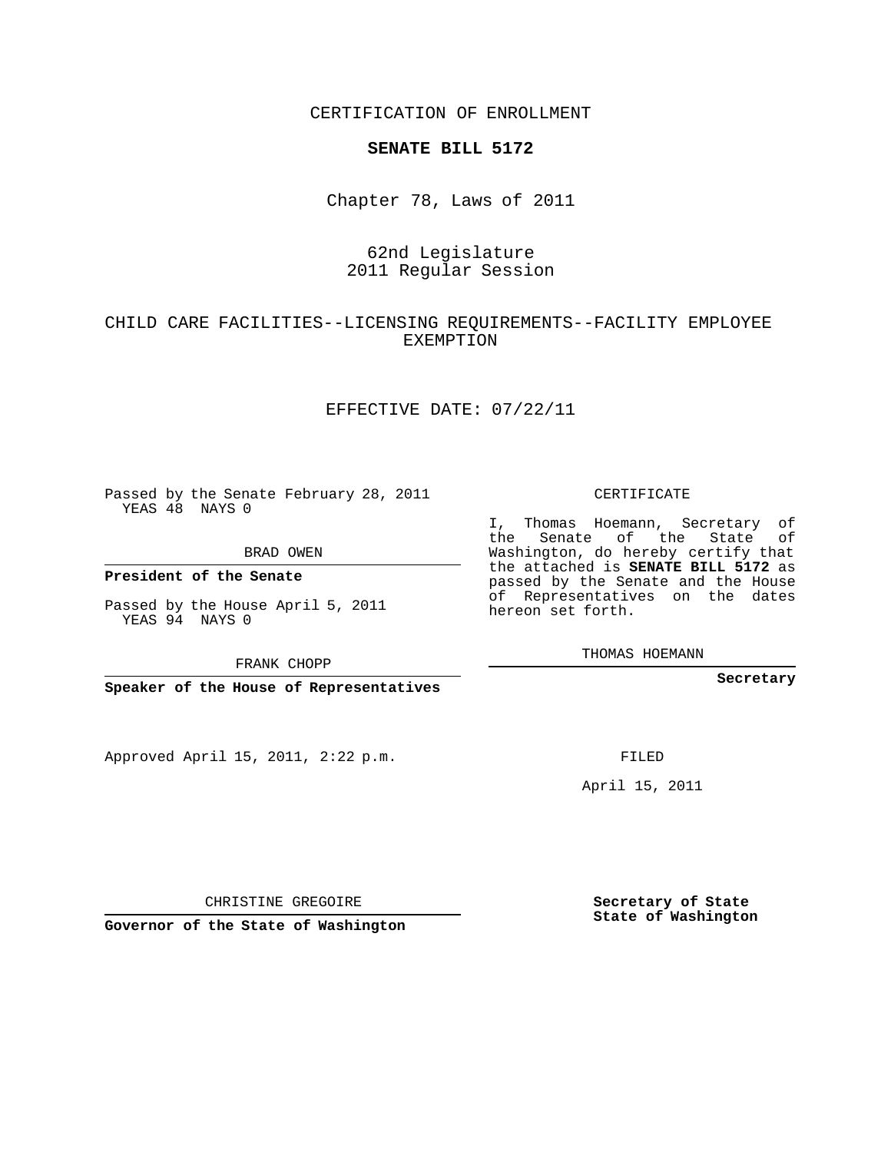CERTIFICATION OF ENROLLMENT

#### **SENATE BILL 5172**

Chapter 78, Laws of 2011

## 62nd Legislature 2011 Regular Session

### CHILD CARE FACILITIES--LICENSING REQUIREMENTS--FACILITY EMPLOYEE EXEMPTION

#### EFFECTIVE DATE: 07/22/11

Passed by the Senate February 28, 2011 YEAS 48 NAYS 0

BRAD OWEN

**President of the Senate**

Passed by the House April 5, 2011 YEAS 94 NAYS 0

FRANK CHOPP

**Speaker of the House of Representatives**

Approved April 15, 2011, 2:22 p.m.

CERTIFICATE

I, Thomas Hoemann, Secretary of the Senate of the State of Washington, do hereby certify that the attached is **SENATE BILL 5172** as passed by the Senate and the House of Representatives on the dates hereon set forth.

THOMAS HOEMANN

**Secretary**

FILED

April 15, 2011

CHRISTINE GREGOIRE

**Governor of the State of Washington**

**Secretary of State State of Washington**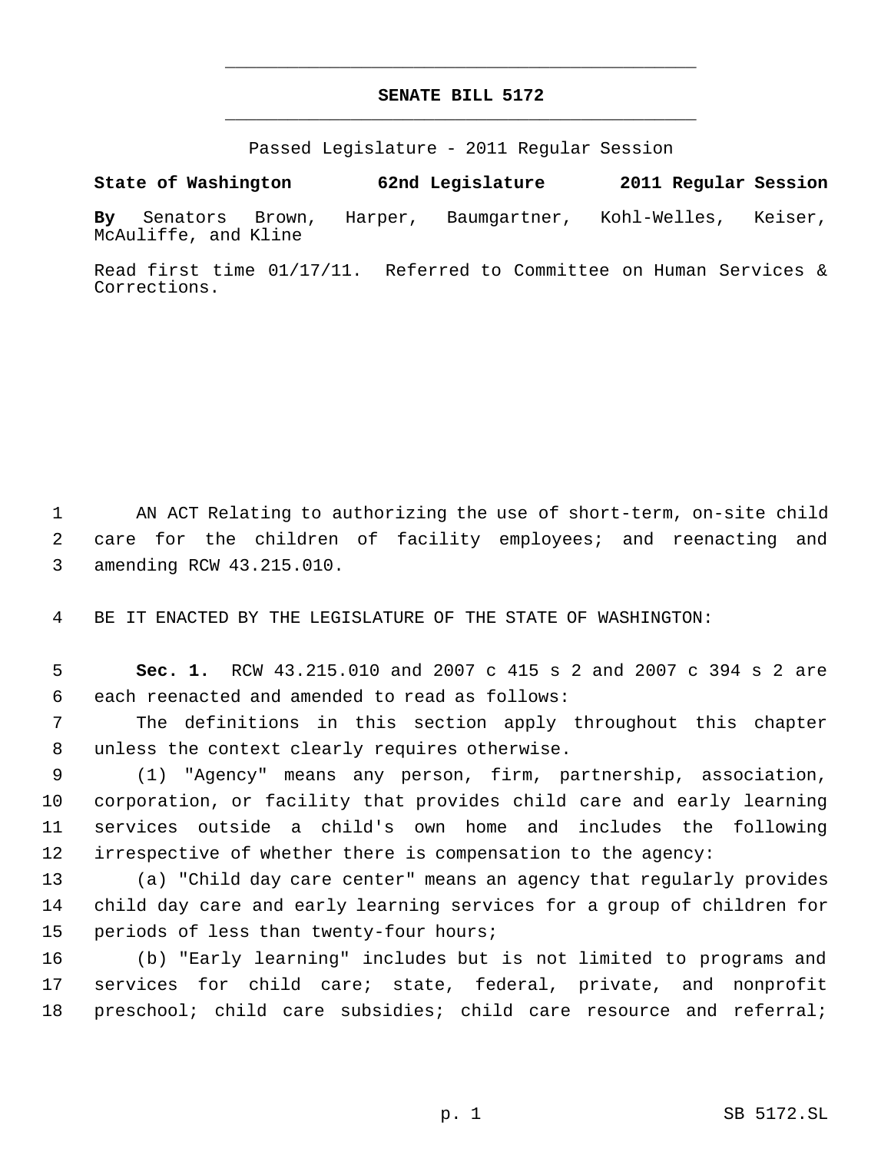# **SENATE BILL 5172** \_\_\_\_\_\_\_\_\_\_\_\_\_\_\_\_\_\_\_\_\_\_\_\_\_\_\_\_\_\_\_\_\_\_\_\_\_\_\_\_\_\_\_\_\_

\_\_\_\_\_\_\_\_\_\_\_\_\_\_\_\_\_\_\_\_\_\_\_\_\_\_\_\_\_\_\_\_\_\_\_\_\_\_\_\_\_\_\_\_\_

Passed Legislature - 2011 Regular Session

**State of Washington 62nd Legislature 2011 Regular Session**

**By** Senators Brown, Harper, Baumgartner, Kohl-Welles, Keiser, McAuliffe, and Kline

Read first time 01/17/11. Referred to Committee on Human Services & Corrections.

 AN ACT Relating to authorizing the use of short-term, on-site child care for the children of facility employees; and reenacting and amending RCW 43.215.010.

BE IT ENACTED BY THE LEGISLATURE OF THE STATE OF WASHINGTON:

 **Sec. 1.** RCW 43.215.010 and 2007 c 415 s 2 and 2007 c 394 s 2 are each reenacted and amended to read as follows:

 The definitions in this section apply throughout this chapter unless the context clearly requires otherwise.

 (1) "Agency" means any person, firm, partnership, association, corporation, or facility that provides child care and early learning services outside a child's own home and includes the following irrespective of whether there is compensation to the agency:

 (a) "Child day care center" means an agency that regularly provides child day care and early learning services for a group of children for periods of less than twenty-four hours;

 (b) "Early learning" includes but is not limited to programs and services for child care; state, federal, private, and nonprofit preschool; child care subsidies; child care resource and referral;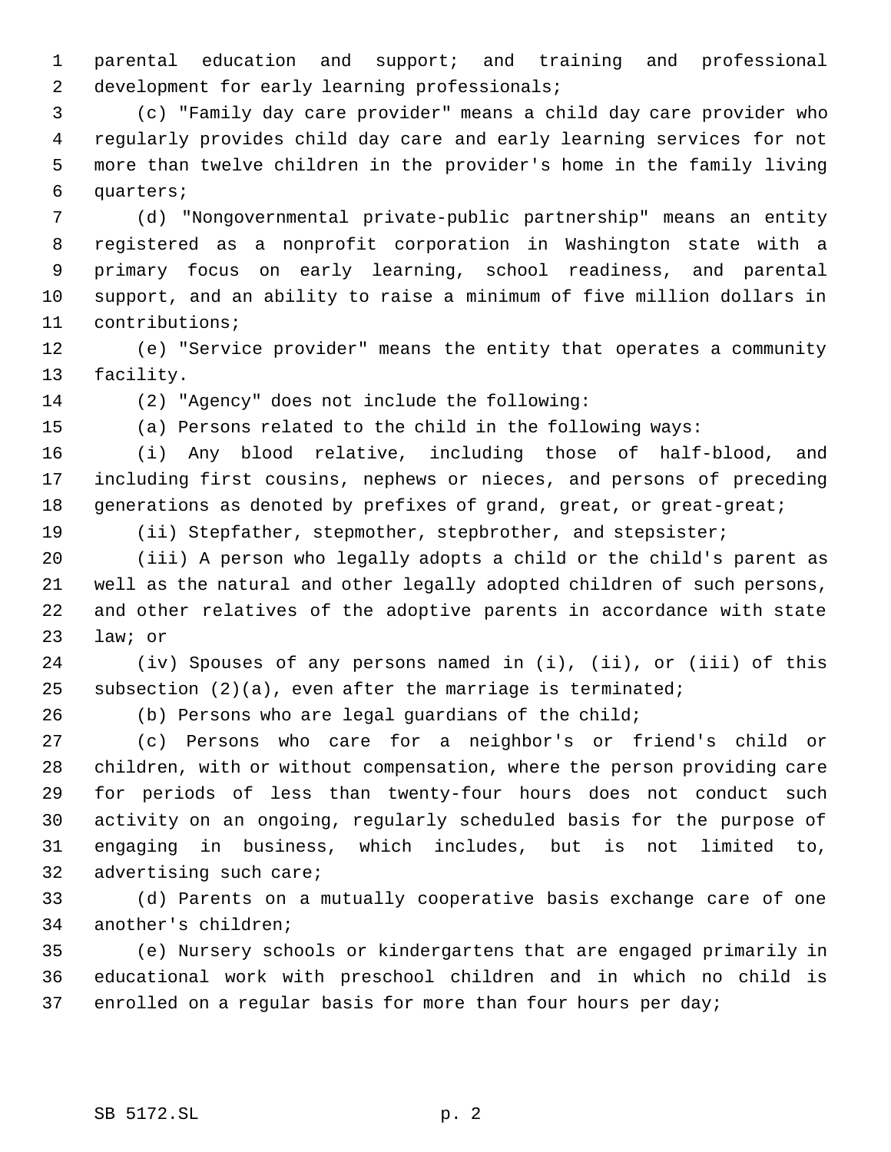parental education and support; and training and professional development for early learning professionals;

 (c) "Family day care provider" means a child day care provider who regularly provides child day care and early learning services for not more than twelve children in the provider's home in the family living quarters;

 (d) "Nongovernmental private-public partnership" means an entity registered as a nonprofit corporation in Washington state with a primary focus on early learning, school readiness, and parental support, and an ability to raise a minimum of five million dollars in contributions;

 (e) "Service provider" means the entity that operates a community facility.

(2) "Agency" does not include the following:

(a) Persons related to the child in the following ways:

 (i) Any blood relative, including those of half-blood, and including first cousins, nephews or nieces, and persons of preceding 18 generations as denoted by prefixes of grand, great, or great-great;

(ii) Stepfather, stepmother, stepbrother, and stepsister;

 (iii) A person who legally adopts a child or the child's parent as well as the natural and other legally adopted children of such persons, and other relatives of the adoptive parents in accordance with state law; or

 (iv) Spouses of any persons named in (i), (ii), or (iii) of this 25 subsection  $(2)(a)$ , even after the marriage is terminated;

(b) Persons who are legal guardians of the child;

 (c) Persons who care for a neighbor's or friend's child or children, with or without compensation, where the person providing care for periods of less than twenty-four hours does not conduct such activity on an ongoing, regularly scheduled basis for the purpose of engaging in business, which includes, but is not limited to, advertising such care;

 (d) Parents on a mutually cooperative basis exchange care of one another's children;

 (e) Nursery schools or kindergartens that are engaged primarily in educational work with preschool children and in which no child is enrolled on a regular basis for more than four hours per day;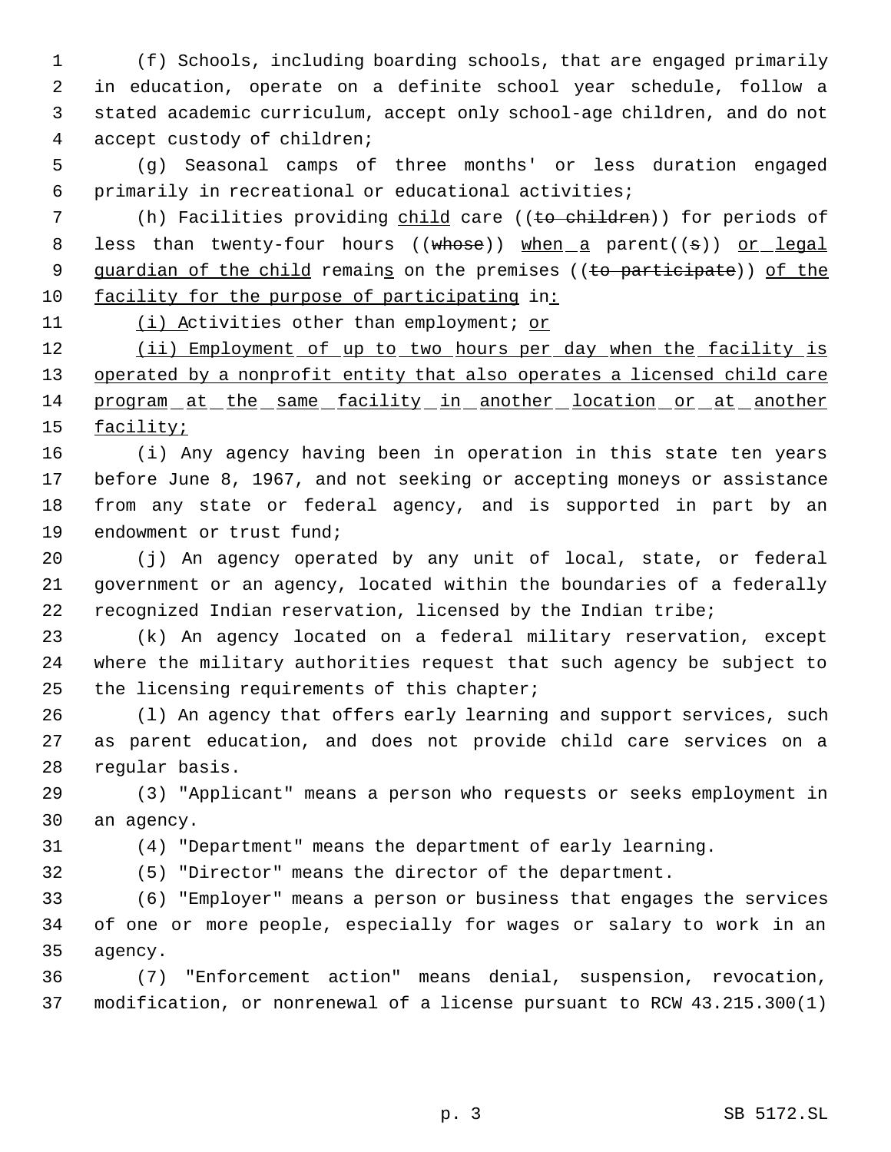(f) Schools, including boarding schools, that are engaged primarily in education, operate on a definite school year schedule, follow a stated academic curriculum, accept only school-age children, and do not accept custody of children;

 (g) Seasonal camps of three months' or less duration engaged primarily in recreational or educational activities;

7 (h) Facilities providing child care ((to children)) for periods of 8 less than twenty-four hours ((whose)) when a parent((s)) or legal 9 guardian of the child remains on the premises ((to participate)) of the 10 facility for the purpose of participating in:

11 (i) Activities other than employment; or

12 (ii) Employment of up to two hours per day when the facility is 13 operated by a nonprofit entity that also operates a licensed child care 14 program at the same facility in another location or at another 15 <u>facility;</u>

 (i) Any agency having been in operation in this state ten years before June 8, 1967, and not seeking or accepting moneys or assistance from any state or federal agency, and is supported in part by an endowment or trust fund;

 (j) An agency operated by any unit of local, state, or federal government or an agency, located within the boundaries of a federally recognized Indian reservation, licensed by the Indian tribe;

 (k) An agency located on a federal military reservation, except where the military authorities request that such agency be subject to the licensing requirements of this chapter;

 (l) An agency that offers early learning and support services, such as parent education, and does not provide child care services on a regular basis.

 (3) "Applicant" means a person who requests or seeks employment in an agency.

(4) "Department" means the department of early learning.

(5) "Director" means the director of the department.

 (6) "Employer" means a person or business that engages the services of one or more people, especially for wages or salary to work in an agency.

 (7) "Enforcement action" means denial, suspension, revocation, modification, or nonrenewal of a license pursuant to RCW 43.215.300(1)